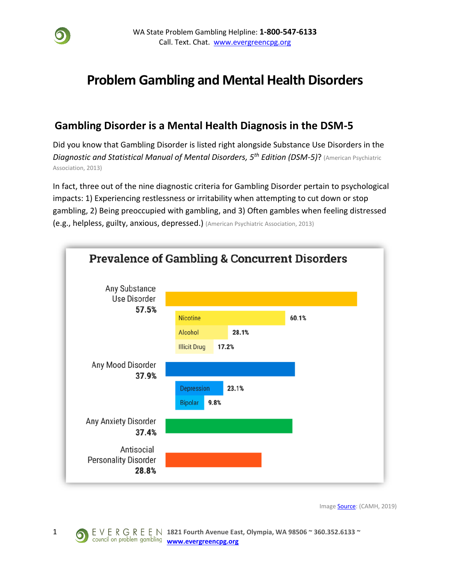

# **Problem Gambling and Mental Health Disorders**

### **Gambling Disorder is a Mental Health Diagnosis in the DSM-5**

Did you know that Gambling Disorder is listed right alongside Substance Use Disorders in the *Diagnostic and Statistical Manual of Mental Disorders, 5th Edition (DSM-5)*? (American Psychiatric Association, 2013)

In fact, three out of the nine diagnostic criteria for Gambling Disorder pertain to psychological impacts: 1) Experiencing restlessness or irritability when attempting to cut down or stop gambling, 2) Being preoccupied with gambling, and 3) Often gambles when feeling distressed (e.g., helpless, guilty, anxious, depressed.) (American Psychiatric Association, 2013)



Image **Source:** (CAMH, 2019)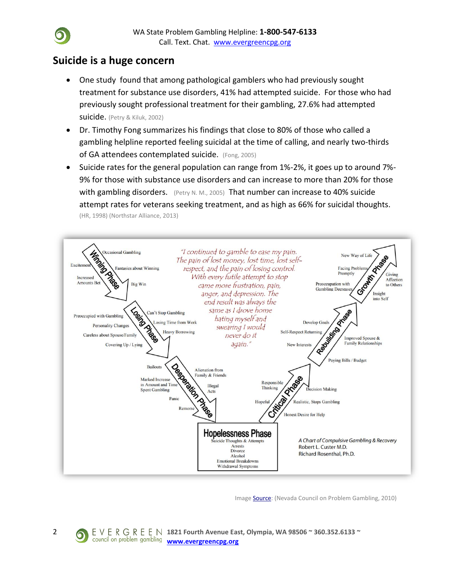### **Suicide is a huge concern**

- One study found that among pathological gamblers who had previously sought treatment for substance use disorders, 41% had attempted suicide. For those who had previously sought professional treatment for their gambling, 27.6% had attempted suicide. (Petry & Kiluk, 2002)
- Dr. Timothy Fong summarizes his findings that close to 80% of those who called a gambling helpline reported feeling suicidal at the time of calling, and nearly two-thirds of GA attendees contemplated suicide. (Fong, 2005)
- Suicide rates for the general population can range from 1%-2%, it goes up to around 7%- 9% for those with substance use disorders and can increase to more than 20% for those with gambling disorders. (Petry N. M., 2005) That number can increase to 40% suicide attempt rates for veterans seeking treatment, and as high as 66% for suicidal thoughts. (HR, 1998) (Northstar Alliance, 2013)



Image **Source:** (Nevada Council on Problem Gambling, 2010)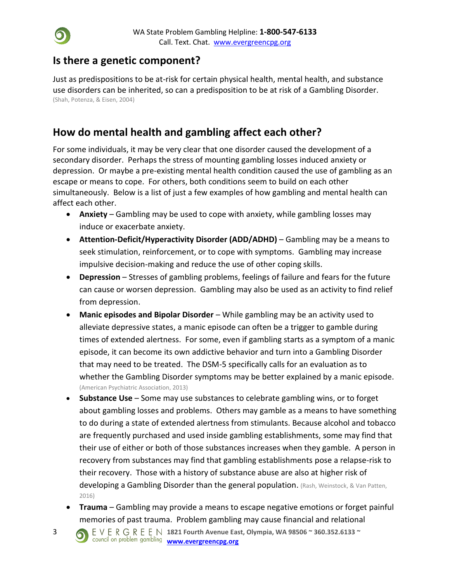

### **Is there a genetic component?**

Just as predispositions to be at-risk for certain physical health, mental health, and substance use disorders can be inherited, so can a predisposition to be at risk of a Gambling Disorder. (Shah, Potenza, & Eisen, 2004)

## **How do mental health and gambling affect each other?**

For some individuals, it may be very clear that one disorder caused the development of a secondary disorder. Perhaps the stress of mounting gambling losses induced anxiety or depression. Or maybe a pre-existing mental health condition caused the use of gambling as an escape or means to cope. For others, both conditions seem to build on each other simultaneously. Below is a list of just a few examples of how gambling and mental health can affect each other.

- **Anxiety** Gambling may be used to cope with anxiety, while gambling losses may induce or exacerbate anxiety.
- **Attention-Deficit/Hyperactivity Disorder (ADD/ADHD)** Gambling may be a means to seek stimulation, reinforcement, or to cope with symptoms. Gambling may increase impulsive decision-making and reduce the use of other coping skills.
- **Depression** Stresses of gambling problems, feelings of failure and fears for the future can cause or worsen depression. Gambling may also be used as an activity to find relief from depression.
- **Manic episodes and Bipolar Disorder** While gambling may be an activity used to alleviate depressive states, a manic episode can often be a trigger to gamble during times of extended alertness. For some, even if gambling starts as a symptom of a manic episode, it can become its own addictive behavior and turn into a Gambling Disorder that may need to be treated. The DSM-5 specifically calls for an evaluation as to whether the Gambling Disorder symptoms may be better explained by a manic episode. (American Psychiatric Association, 2013)
- **Substance Use** Some may use substances to celebrate gambling wins, or to forget about gambling losses and problems. Others may gamble as a means to have something to do during a state of extended alertness from stimulants. Because alcohol and tobacco are frequently purchased and used inside gambling establishments, some may find that their use of either or both of those substances increases when they gamble. A person in recovery from substances may find that gambling establishments pose a relapse-risk to their recovery. Those with a history of substance abuse are also at higher risk of developing a Gambling Disorder than the general population. (Rash, Weinstock, & Van Patten, 2016)
- **Trauma** Gambling may provide a means to escape negative emotions or forget painful memories of past trauma. Problem gambling may cause financial and relational
- 3 **1821 Fourth Avenue East, Olympia, WA 98506 ~ 360.352.6133 ~**  council on problem gambling **[www.evergreencpg.org](http://www.evergreencpg.org/)**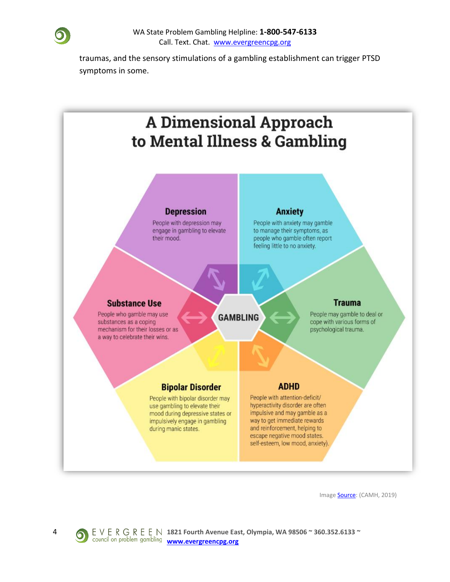

traumas, and the sensory stimulations of a gambling establishment can trigger PTSD symptoms in some.



Image **Source**: (CAMH, 2019)

4 **1821 Fourth Avenue East, Olympia, WA 98506 ~ 360.352.6133 ~**  council on problem gambling **[www.evergreencpg.org](http://www.evergreencpg.org/)**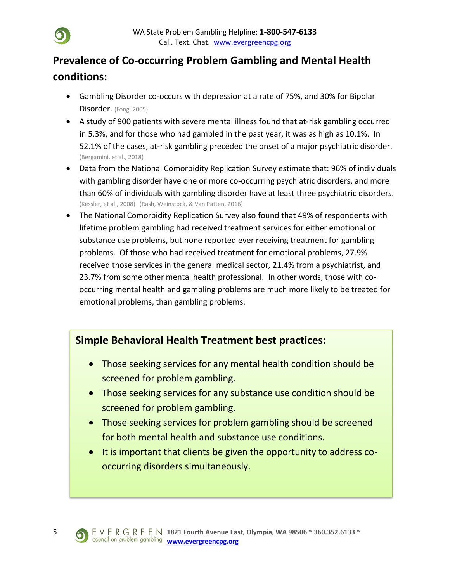# **Prevalence of Co-occurring Problem Gambling and Mental Health conditions:**

- Gambling Disorder co-occurs with depression at a rate of 75%, and 30% for Bipolar Disorder. (Fong, 2005)
- A study of 900 patients with severe mental illness found that at-risk gambling occurred in 5.3%, and for those who had gambled in the past year, it was as high as 10.1%. In 52.1% of the cases, at-risk gambling preceded the onset of a major psychiatric disorder. (Bergamini, et al., 2018)
- Data from the National Comorbidity Replication Survey estimate that: 96% of individuals with gambling disorder have one or more co-occurring psychiatric disorders, and more than 60% of individuals with gambling disorder have at least three psychiatric disorders. (Kessler, et al., 2008) (Rash, Weinstock, & Van Patten, 2016)
- The National Comorbidity Replication Survey also found that 49% of respondents with lifetime problem gambling had received treatment services for either emotional or substance use problems, but none reported ever receiving treatment for gambling problems. Of those who had received treatment for emotional problems, 27.9% received those services in the general medical sector, 21.4% from a psychiatrist, and 23.7% from some other mental health professional. In other words, those with cooccurring mental health and gambling problems are much more likely to be treated for emotional problems, than gambling problems.

## **Simple Behavioral Health Treatment best practices:**

- Those seeking services for any mental health condition should be screened for problem gambling.
- Those seeking services for any substance use condition should be screened for problem gambling.
- Those seeking services for problem gambling should be screened for both mental health and substance use conditions.
- It is important that clients be given the opportunity to address cooccurring disorders simultaneously.